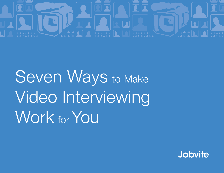

Seven Ways to Make Video Interviewing Work for You

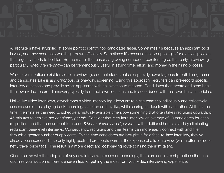All recruiters have struggled at some point to identify top candidates faster. Sometimes it's because an applicant pool is vast, and they need help whittling it down effectively. Sometimes it's because the job opening is for a critical position that urgently needs to be filled. But no matter the reason, a growing number of recruiters agree that early interviewing  $$ particularly *video interviewing*—can be tremendously useful in saving time, effort, and money in the hiring process.

While several options exist for video interviewing, one that stands out as especially advantageous to both hiring teams and candidates alike is *asynchronous*, or one-way, screening. Using this approach, recruiters can pre-record specific interview questions and provide select applicants with an invitation to respond. Candidates then create and send back their own video-recorded answers, typically from their own locations and in accordance with their own busy schedules.

Unlike live video interviews, asynchronous video interviewing allows entire hiring teams to individually and collectively assess candidates, playing back recordings as often as they like, while sharing feedback with each other. At the same time, it eliminates the need to schedule a mutually available time slot - something that often takes recruiters upwards of 45 minutes to achieve *per candidate, per job*. Consider that recruiters interview an average of 10 candidates for each requisition, and that can amount to around 8 hours of time saved per job - with additional hours saved by eliminating redundant peer-level interviews. Consequently, recruiters and their teams can more easily connect with and filter through a greater number of applicants. By the time candidates are brought in for a face-to-face interview, they've already been screened—so only highly qualified prospects warrant the expense of a live interview (which often includes hefty travel price tags). The result is a more direct and cost-saving route to hiring the right talent.

2 optimize your outcome. Here are seven tips for getting the most from your video interviewing experience.Of course, as with the adoption of any new interview process or technology, there are certain best practices that can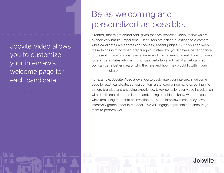Jobvite Video allows you to customize your interview's welcome page for each candidate... **1**

#### Be as welcoming and personalized as possible.

Granted, that might sound odd, given that pre-recorded video interviews are, by their very nature, impersonal. Recruiters are asking questions to a camera, while candidates are addressing faceless, absent judges. But if you can keep these things in mind when preparing your interview, you'll have a better chance of presenting your company as a warm and inviting environment. Look for ways to relax candidates who might not be comfortable in front of a webcam, so you can get a better idea of who they are and how they would fit within your corporate culture.

For example, Jobvite Video allows you to customize your interview's welcome page for each candidate, so you can turn a standard on-demand screening into a more branded and engaging experience. Likewise, tailor your video introduction with details specific to the job at hand, letting candidates know what to expect while reminding them that an invitation to a video interview means they have effectively gotten a foot in the door. This will engage applicants and encourage them to perform well.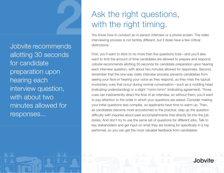Jobvite recommends allotting 30 seconds for candidate preparation upon hearing each interview question, with about two minutes allowed for responses... **2**

## Ask the right questions, with the right timing.

You know how to conduct an in-person interview or a phone screen. The video interviewing process is not terribly different, but it does have a few critical distinctions.

First, you'll want to stick to no more than five questions total—and you'll also want to limit the amount of time candidates are allowed to prepare and respond. Jobvite recommends allotting 30 seconds for candidate preparation upon hearing each interview question, with about two minutes allowed for responses. Second, remember that the one-way video interview process prevents candidates from seeing your face or hearing your voice as they respond, so they miss the typical involuntary cues that occur during normal conversation—such as a nodding head (indicating understanding) or a slight "mmm-hmm" (indicating agreement). Those cues can inadvertently direct the flow of an interview, so without them, you'll want to pay attention to the order in which your questions are asked. Consider making your initial questions less complex, so applicants have time to warm up. Then, as candidates become more accustomed to the practice, step up the question difficulty with inquiries about past accomplishments that directly tie into the job duties. And don't try to use the same set of questions for different jobs. Talk to key stakeholders and get input on what they are looking for specifically in a top performer, so you can get the most valuable feedback from candidates.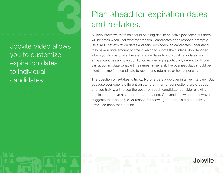Jobvite Video allows you to customize expiration dates to individual candidates... **3**

#### Plan ahead for expiration dates and re-takes.

A video interview invitation should be a big deal to an active jobseeker, but there will be times when-for whatever reason-candidates don't respond promptly. Be sure to set expiration dates and send reminders, so candidates understand they have a finite amount of time in which to submit their videos. Jobvite Video allows you to customize these expiration dates to individual candidates, so if an applicant has a known conflict or an opening is particularly urgent to fill, you can accommodate variable timeframes. In general, five business days should be plenty of time for a candidate to record and return his or her responses.

The question of re-takes is tricky. No one gets a do-over in a live interview. But because everyone is different on camera, Internet connections are dropped, and you truly want to see the best from each candidate, consider allowing applicants to have a second or third chance. Conventional wisdom, however, suggests that the only *valid* reason for allowing a re-take is a connectivity  $error$ -so keep that in mind.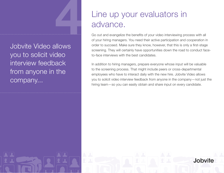Jobvite Video allows you to solicit video interview feedback from anyone in the company... **4**

#### Line up your evaluators in advance.

Go out and evangelize the benefits of your video interviewing process with all of your hiring managers. You need their active participation and cooperation in order to succeed. Make sure they know, however, that this is only a first-stage screening. They will certainly have opportunities down the road to conduct faceto-face interviews with the best candidates.

In addition to hiring managers, prepare everyone whose input will be valuable to the screening process. That might include peers or cross-departmental employees who have to interact daily with the new hire. Jobvite Video allows you to solicit video interview feedback from anyone in the company—not just the hiring team-so you can easily obtain and share input on every candidate.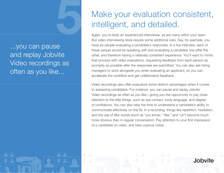...you can pause and replay Jobvite Video recordings as often as you like...

**5**

## Make your evaluation consistent, intelligent, and detailed.

Again, you're likely an experienced interviewer, as are many within your team. But video interviewing does require some additional care. Say, for example, you have six people evaluating a candidate's responses. In a live interview, each of these people would be speaking with and evaluating a candidate one after the other, and therefore having a relatively consistent experience. You'll want to mimic that process with video evaluations, requesting feedback from each person as promptly as possible after the responses are submitted. You can also ask hiring managers to work alongside you when evaluating an applicant, so you can accelerate the workflow and get collaborative feedback.

Video recordings also offer evaluators some distinct advantages when it comes to assessing candidates. For instance, you can pause and replay Jobvite Video recordings as often as you like  $-$  giving you the opportunity to pay close attention to the little things, such as eye contact, body language, and degree of confidence. You can also take the time to understand a candidate's ability to communicate effectively on-the-fly. In a recording, things like repetition, hesitation, and the use of filler words (such as "you know," "like," and "uh") become much more obvious than in regular conversation. Pay attention to your first impression of a candidate on video, and take copious notes.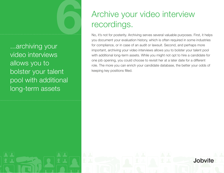...archiving your video interviews allows you to bolster your talent pool with additional long-term assets

**6**

## Archive your video interview recordings.

No, it's not for posterity. Archiving serves several valuable purposes. First, it helps you document your evaluation history, which is often required in some industries for compliance, or in case of an audit or lawsuit. Second, and perhaps more important, archiving your video interviews allows you to bolster your talent pool with additional long-term assets. While you might not opt to hire a candidate for one job opening, you could choose to revisit her at a later date for a different role. The more you can enrich your candidate database, the better your odds of keeping key positions filled.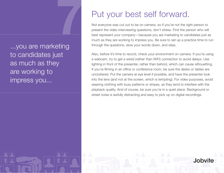...you are marketing to candidates just as much as they are working to impress you... **7**

#### Put your best self forward.

Not everyone was cut out to be on camera, so if you're not the right person to present the video interviewing questions, don't stress. Find the person who will best represent your company—because you are marketing to candidates just as much as they are working to impress you. Be sure to set up a practice time to run through the questions, slow your words down, and relax.

Also, before it's time to record, check your environment on camera. If you're using a webcam, try to get a wired (rather than WiFi) connection to avoid delays. Use lighting in front of the presenter, rather than behind, which can cause silhouetting. If you're filming in an office or conference room, be sure the desks or tables are uncluttered. Put the camera at eye level if possible, and have the presenter look into the lens (and not at the screen, which is tempting). For video purposes, avoid wearing clothing with busy patterns or stripes, as they tend to interfere with the playback quality. And of course, be sure you're in a quiet place. Background or street noise is awfully distracting and easy to pick up on digital recordings.